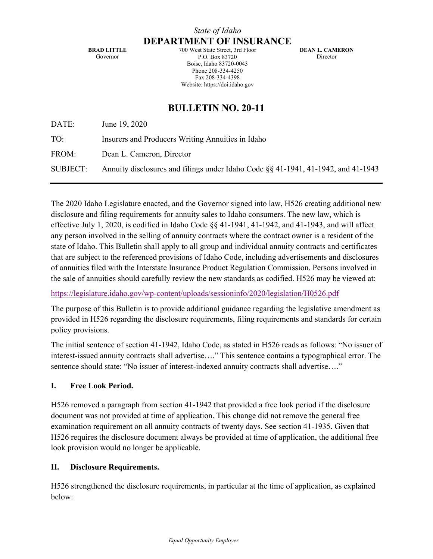**BRAD LITTLE** Governor

700 West State Street, 3rd Floor P.O. Box 83720 Boise, Idaho 83720-0043 Phone 208-334-4250 Fax 208-334-4398 Website: https://doi.idaho.gov

**DEAN L. CAMERON** Director

# **BULLETIN NO. 20-11**

DATE: June 19, 2020

TO: Insurers and Producers Writing Annuities in Idaho

FROM: Dean L. Cameron, Director

SUBJECT: Annuity disclosures and filings under Idaho Code §§ 41-1941, 41-1942, and 41-1943

The 2020 Idaho Legislature enacted, and the Governor signed into law, H526 creating additional new disclosure and filing requirements for annuity sales to Idaho consumers. The new law, which is effective July 1, 2020, is codified in Idaho Code §§ 41-1941, 41-1942, and 41-1943, and will affect any person involved in the selling of annuity contracts where the contract owner is a resident of the state of Idaho. This Bulletin shall apply to all group and individual annuity contracts and certificates that are subject to the referenced provisions of Idaho Code, including advertisements and disclosures of annuities filed with the Interstate Insurance Product Regulation Commission. Persons involved in the sale of annuities should carefully review the new standards as codified. H526 may be viewed at:

https://legislature.idaho.gov/wp-content/uploads/sessioninfo/2020/legislation/H0526.pdf

The purpose of this Bulletin is to provide additional guidance regarding the legislative amendment as provided in H526 regarding the disclosure requirements, filing requirements and standards for certain policy provisions.

The initial sentence of section 41-1942, Idaho Code, as stated in H526 reads as follows: "No issuer of interest-issued annuity contracts shall advertise…." This sentence contains a typographical error. The sentence should state: "No issuer of interest-indexed annuity contracts shall advertise…."

### **I. Free Look Period.**

H526 removed a paragraph from section 41-1942 that provided a free look period if the disclosure document was not provided at time of application. This change did not remove the general free examination requirement on all annuity contracts of twenty days. See section 41-1935. Given that H526 requires the disclosure document always be provided at time of application, the additional free look provision would no longer be applicable.

### **II. Disclosure Requirements.**

H526 strengthened the disclosure requirements, in particular at the time of application, as explained below: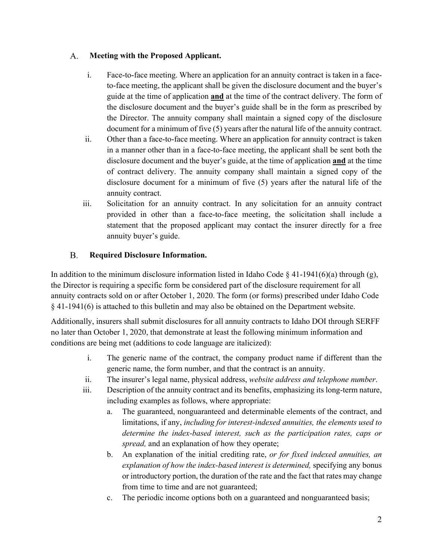#### $A_{\cdot}$ **Meeting with the Proposed Applicant.**

- i. Face-to-face meeting. Where an application for an annuity contract is taken in a faceto-face meeting, the applicant shall be given the disclosure document and the buyer's guide at the time of application **and** at the time of the contract delivery. The form of the disclosure document and the buyer's guide shall be in the form as prescribed by the Director. The annuity company shall maintain a signed copy of the disclosure document for a minimum of five (5) years after the natural life of the annuity contract.
- ii. Other than a face-to-face meeting. Where an application for annuity contract is taken in a manner other than in a face-to-face meeting, the applicant shall be sent both the disclosure document and the buyer's guide, at the time of application **and** at the time of contract delivery. The annuity company shall maintain a signed copy of the disclosure document for a minimum of five (5) years after the natural life of the annuity contract.
- iii. Solicitation for an annuity contract. In any solicitation for an annuity contract provided in other than a face-to-face meeting, the solicitation shall include a statement that the proposed applicant may contact the insurer directly for a free annuity buyer's guide.

#### **B. Required Disclosure Information.**

In addition to the minimum disclosure information listed in Idaho Code  $\S$  41-1941(6)(a) through (g), the Director is requiring a specific form be considered part of the disclosure requirement for all annuity contracts sold on or after October 1, 2020. The form (or forms) prescribed under Idaho Code § 41-1941(6) is attached to this bulletin and may also be obtained on the Department website.

Additionally, insurers shall submit disclosures for all annuity contracts to Idaho DOI through SERFF no later than October 1, 2020, that demonstrate at least the following minimum information and conditions are being met (additions to code language are italicized):

- i. The generic name of the contract, the company product name if different than the generic name, the form number, and that the contract is an annuity.
- ii. The insurer's legal name, physical address, *website address and telephone number*.
- iii. Description of the annuity contract and its benefits, emphasizing its long-term nature, including examples as follows, where appropriate:
	- a. The guaranteed, nonguaranteed and determinable elements of the contract, and limitations, if any, *including for interest-indexed annuities, the elements used to determine the index-based interest, such as the participation rates, caps or spread,* and an explanation of how they operate;
	- b. An explanation of the initial crediting rate, *or for fixed indexed annuities, an explanation of how the index-based interest is determined,* specifying any bonus or introductory portion, the duration of the rate and the fact that rates may change from time to time and are not guaranteed;
	- c. The periodic income options both on a guaranteed and nonguaranteed basis;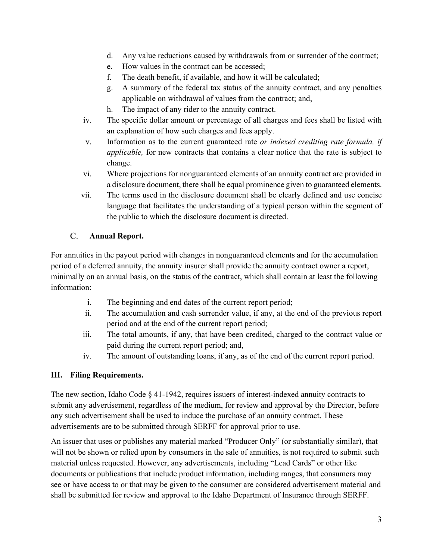- d. Any value reductions caused by withdrawals from or surrender of the contract;
- e. How values in the contract can be accessed;
- f. The death benefit, if available, and how it will be calculated;
- g. A summary of the federal tax status of the annuity contract, and any penalties applicable on withdrawal of values from the contract; and,
- h. The impact of any rider to the annuity contract.
- iv. The specific dollar amount or percentage of all charges and fees shall be listed with an explanation of how such charges and fees apply.
- v. Information as to the current guaranteed rate *or indexed crediting rate formula, if applicable,* for new contracts that contains a clear notice that the rate is subject to change.
- vi. Where projections for nonguaranteed elements of an annuity contract are provided in a disclosure document, there shall be equal prominence given to guaranteed elements.
- vii. The terms used in the disclosure document shall be clearly defined and use concise language that facilitates the understanding of a typical person within the segment of the public to which the disclosure document is directed.

#### $\mathcal{C}$ . **Annual Report.**

For annuities in the payout period with changes in nonguaranteed elements and for the accumulation period of a deferred annuity, the annuity insurer shall provide the annuity contract owner a report, minimally on an annual basis, on the status of the contract, which shall contain at least the following information:

- i. The beginning and end dates of the current report period;
- ii. The accumulation and cash surrender value, if any, at the end of the previous report period and at the end of the current report period;
- iii. The total amounts, if any, that have been credited, charged to the contract value or paid during the current report period; and,
- iv. The amount of outstanding loans, if any, as of the end of the current report period.

# **III. Filing Requirements.**

The new section, Idaho Code § 41-1942, requires issuers of interest-indexed annuity contracts to submit any advertisement, regardless of the medium, for review and approval by the Director, before any such advertisement shall be used to induce the purchase of an annuity contract. These advertisements are to be submitted through SERFF for approval prior to use.

An issuer that uses or publishes any material marked "Producer Only" (or substantially similar), that will not be shown or relied upon by consumers in the sale of annuities, is not required to submit such material unless requested. However, any advertisements, including "Lead Cards" or other like documents or publications that include product information, including ranges, that consumers may see or have access to or that may be given to the consumer are considered advertisement material and shall be submitted for review and approval to the Idaho Department of Insurance through SERFF.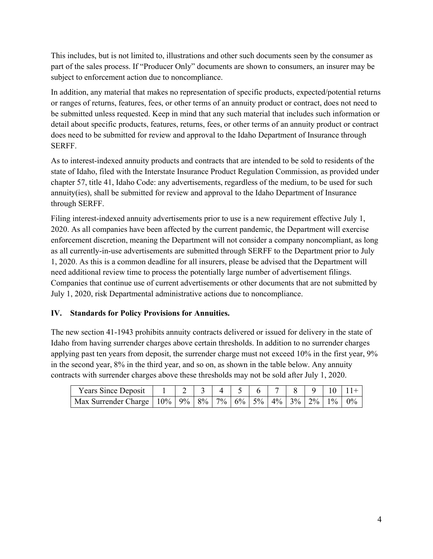This includes, but is not limited to, illustrations and other such documents seen by the consumer as part of the sales process. If "Producer Only" documents are shown to consumers, an insurer may be subject to enforcement action due to noncompliance.

In addition, any material that makes no representation of specific products, expected/potential returns or ranges of returns, features, fees, or other terms of an annuity product or contract, does not need to be submitted unless requested. Keep in mind that any such material that includes such information or detail about specific products, features, returns, fees, or other terms of an annuity product or contract does need to be submitted for review and approval to the Idaho Department of Insurance through SERFF.

As to interest-indexed annuity products and contracts that are intended to be sold to residents of the state of Idaho, filed with the Interstate Insurance Product Regulation Commission, as provided under chapter 57, title 41, Idaho Code: any advertisements, regardless of the medium, to be used for such annuity(ies), shall be submitted for review and approval to the Idaho Department of Insurance through SERFF.

Filing interest-indexed annuity advertisements prior to use is a new requirement effective July 1, 2020. As all companies have been affected by the current pandemic, the Department will exercise enforcement discretion, meaning the Department will not consider a company noncompliant, as long as all currently-in-use advertisements are submitted through SERFF to the Department prior to July 1, 2020. As this is a common deadline for all insurers, please be advised that the Department will need additional review time to process the potentially large number of advertisement filings. Companies that continue use of current advertisements or other documents that are not submitted by July 1, 2020, risk Departmental administrative actions due to noncompliance.

# **IV. Standards for Policy Provisions for Annuities.**

The new section 41-1943 prohibits annuity contracts delivered or issued for delivery in the state of Idaho from having surrender charges above certain thresholds. In addition to no surrender charges applying past ten years from deposit, the surrender charge must not exceed 10% in the first year, 9% in the second year, 8% in the third year, and so on, as shown in the table below. Any annuity contracts with surrender charges above these thresholds may not be sold after July 1, 2020.

| <b>Years Since Deposit</b>                                                   |  |  |  |  |  | $17 \times 8 \times 9 \times 10 \times 11 +$ |
|------------------------------------------------------------------------------|--|--|--|--|--|----------------------------------------------|
| Max Surrender Charge   10%   9%   8%   7%   6%   5%   4%   3%   2%   1%   0% |  |  |  |  |  |                                              |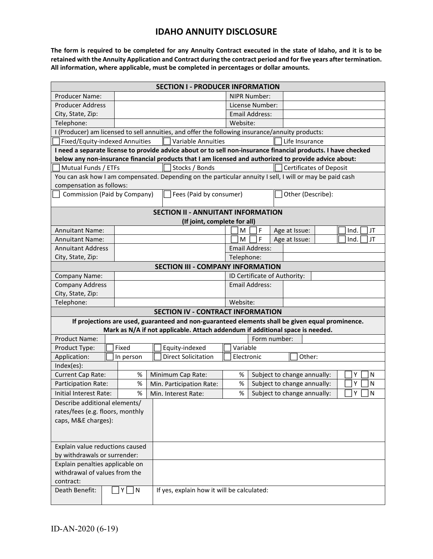# **IDAHO ANNUITY DISCLOSURE**

**The form is required to be completed for any Annuity Contract executed in the state of Idaho, and it is to be retained with the Annuity Application and Contract during the contract period and for five years after termination. All information, where applicable, must be completed in percentages or dollar amounts.**

| <b>SECTION I - PRODUCER INFORMATION</b>                                                                                                                                           |  |           |                          |                                            |          |                       |                             |                   |                                |        |            |  |
|-----------------------------------------------------------------------------------------------------------------------------------------------------------------------------------|--|-----------|--------------------------|--------------------------------------------|----------|-----------------------|-----------------------------|-------------------|--------------------------------|--------|------------|--|
| <b>Producer Name:</b>                                                                                                                                                             |  |           |                          |                                            |          | NIPR Number:          |                             |                   |                                |        |            |  |
| <b>Producer Address</b>                                                                                                                                                           |  |           |                          |                                            |          | License Number:       |                             |                   |                                |        |            |  |
| City, State, Zip:                                                                                                                                                                 |  |           |                          |                                            |          | <b>Email Address:</b> |                             |                   |                                |        |            |  |
| Telephone:                                                                                                                                                                        |  |           |                          |                                            |          |                       | Website:                    |                   |                                |        |            |  |
| I (Producer) am licensed to sell annuities, and offer the following insurance/annuity products:                                                                                   |  |           |                          |                                            |          |                       |                             |                   |                                |        |            |  |
| Fixed/Equity-indexed Annuities<br><b>Variable Annuities</b><br>Life Insurance                                                                                                     |  |           |                          |                                            |          |                       |                             |                   |                                |        |            |  |
| I need a separate license to provide advice about or to sell non-insurance financial products. I have checked                                                                     |  |           |                          |                                            |          |                       |                             |                   |                                |        |            |  |
| below any non-insurance financial products that I am licensed and authorized to provide advice about:                                                                             |  |           |                          |                                            |          |                       |                             |                   |                                |        |            |  |
| Mutual Funds / ETFs                                                                                                                                                               |  |           |                          | Stocks / Bonds                             |          |                       |                             |                   | <b>Certificates of Deposit</b> |        |            |  |
| You can ask how I am compensated. Depending on the particular annuity I sell, I will or may be paid cash                                                                          |  |           |                          |                                            |          |                       |                             |                   |                                |        |            |  |
| compensation as follows:                                                                                                                                                          |  |           |                          |                                            |          |                       |                             |                   |                                |        |            |  |
| Commission (Paid by Company)                                                                                                                                                      |  |           |                          | Fees (Paid by consumer)                    |          |                       |                             | Other (Describe): |                                |        |            |  |
| <b>SECTION II - ANNUITANT INFORMATION</b>                                                                                                                                         |  |           |                          |                                            |          |                       |                             |                   |                                |        |            |  |
| (If joint, complete for all)                                                                                                                                                      |  |           |                          |                                            |          |                       |                             |                   |                                |        |            |  |
| <b>Annuitant Name:</b>                                                                                                                                                            |  |           |                          |                                            |          | м                     | F                           |                   | Age at Issue:                  |        | Ind.<br>JT |  |
| <b>Annuitant Name:</b>                                                                                                                                                            |  |           |                          |                                            |          | M                     | F                           |                   | Age at Issue:                  |        | JT<br>Ind. |  |
| <b>Annuitant Address</b>                                                                                                                                                          |  |           |                          |                                            |          |                       | <b>Email Address:</b>       |                   |                                |        |            |  |
| City, State, Zip:                                                                                                                                                                 |  |           |                          |                                            |          |                       | Telephone:                  |                   |                                |        |            |  |
| <b>SECTION III - COMPANY INFORMATION</b>                                                                                                                                          |  |           |                          |                                            |          |                       |                             |                   |                                |        |            |  |
| <b>Company Name:</b>                                                                                                                                                              |  |           |                          | ID Certificate of Authority:               |          |                       |                             |                   |                                |        |            |  |
| <b>Company Address</b>                                                                                                                                                            |  |           |                          | <b>Email Address:</b>                      |          |                       |                             |                   |                                |        |            |  |
| City, State, Zip:                                                                                                                                                                 |  |           |                          |                                            |          |                       |                             |                   |                                |        |            |  |
| Telephone:                                                                                                                                                                        |  |           |                          |                                            | Website: |                       |                             |                   |                                |        |            |  |
| <b>SECTION IV - CONTRACT INFORMATION</b>                                                                                                                                          |  |           |                          |                                            |          |                       |                             |                   |                                |        |            |  |
| If projections are used, guaranteed and non-guaranteed elements shall be given equal prominence.<br>Mark as N/A if not applicable. Attach addendum if additional space is needed. |  |           |                          |                                            |          |                       |                             |                   |                                |        |            |  |
| Product Name:                                                                                                                                                                     |  |           |                          | Form number:                               |          |                       |                             |                   |                                |        |            |  |
| Product Type:                                                                                                                                                                     |  | Fixed     |                          | Equity-indexed                             |          | Variable              |                             |                   |                                |        |            |  |
| Application:                                                                                                                                                                      |  | In person |                          | <b>Direct Solicitation</b>                 |          | Electronic            |                             |                   | Other:                         |        |            |  |
| Index(es):                                                                                                                                                                        |  |           |                          |                                            |          |                       |                             |                   |                                |        |            |  |
| Current Cap Rate:                                                                                                                                                                 |  | $\%$      | Minimum Cap Rate:        |                                            |          | %                     | Subject to change annually: |                   |                                | Υ<br>N |            |  |
| Participation Rate:                                                                                                                                                               |  | $\%$      | Min. Participation Rate: |                                            |          | %                     | Subject to change annually: |                   | Υ<br>N                         |        |            |  |
| Initial Interest Rate:                                                                                                                                                            |  | $\%$      | Min. Interest Rate:      |                                            |          | %                     |                             |                   | Subject to change annually:    |        | Υ<br>N     |  |
| Describe additional elements/                                                                                                                                                     |  |           |                          |                                            |          |                       |                             |                   |                                |        |            |  |
| rates/fees (e.g. floors, monthly                                                                                                                                                  |  |           |                          |                                            |          |                       |                             |                   |                                |        |            |  |
| caps, M&E charges):                                                                                                                                                               |  |           |                          |                                            |          |                       |                             |                   |                                |        |            |  |
|                                                                                                                                                                                   |  |           |                          |                                            |          |                       |                             |                   |                                |        |            |  |
|                                                                                                                                                                                   |  |           |                          |                                            |          |                       |                             |                   |                                |        |            |  |
| Explain value reductions caused                                                                                                                                                   |  |           |                          |                                            |          |                       |                             |                   |                                |        |            |  |
| by withdrawals or surrender:                                                                                                                                                      |  |           |                          |                                            |          |                       |                             |                   |                                |        |            |  |
| Explain penalties applicable on                                                                                                                                                   |  |           |                          |                                            |          |                       |                             |                   |                                |        |            |  |
| withdrawal of values from the                                                                                                                                                     |  |           |                          |                                            |          |                       |                             |                   |                                |        |            |  |
| contract:                                                                                                                                                                         |  |           |                          |                                            |          |                       |                             |                   |                                |        |            |  |
| Death Benefit:                                                                                                                                                                    |  | $ Y $ N   |                          | If yes, explain how it will be calculated: |          |                       |                             |                   |                                |        |            |  |
|                                                                                                                                                                                   |  |           |                          |                                            |          |                       |                             |                   |                                |        |            |  |